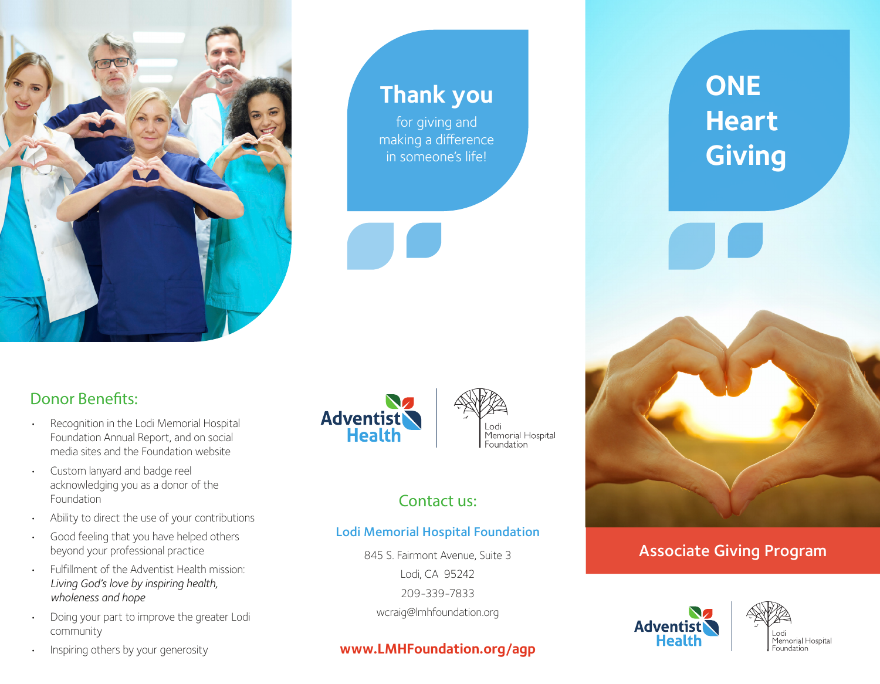

# **Thank you**

for giving and making a difference in someone's life!

## Donor Benefits:

- Recognition in the Lodi Memorial Hospital Foundation Annual Report, and on social media sites and the Foundation website
- Custom lanyard and badge reel acknowledging you as a donor of the Foundation
- Ability to direct the use of your contributions
- Good feeling that you have helped others beyond your professional practice
- Fulfillment of the Adventist Health mission: *Living God's love by inspiring health, wholeness and hope*
- Doing your part to improve the greater Lodi community
- Inspiring others by your generosity





## Contact us:

#### Lodi Memorial Hospital Foundation

845 S. Fairmont Avenue, Suite 3 Lodi, CA 95242 209-339-7833 wcraig@lmhfoundation.org

### **www.LMHFoundation.org/agp**

**ONE Heart Giving**

Associate Giving Program